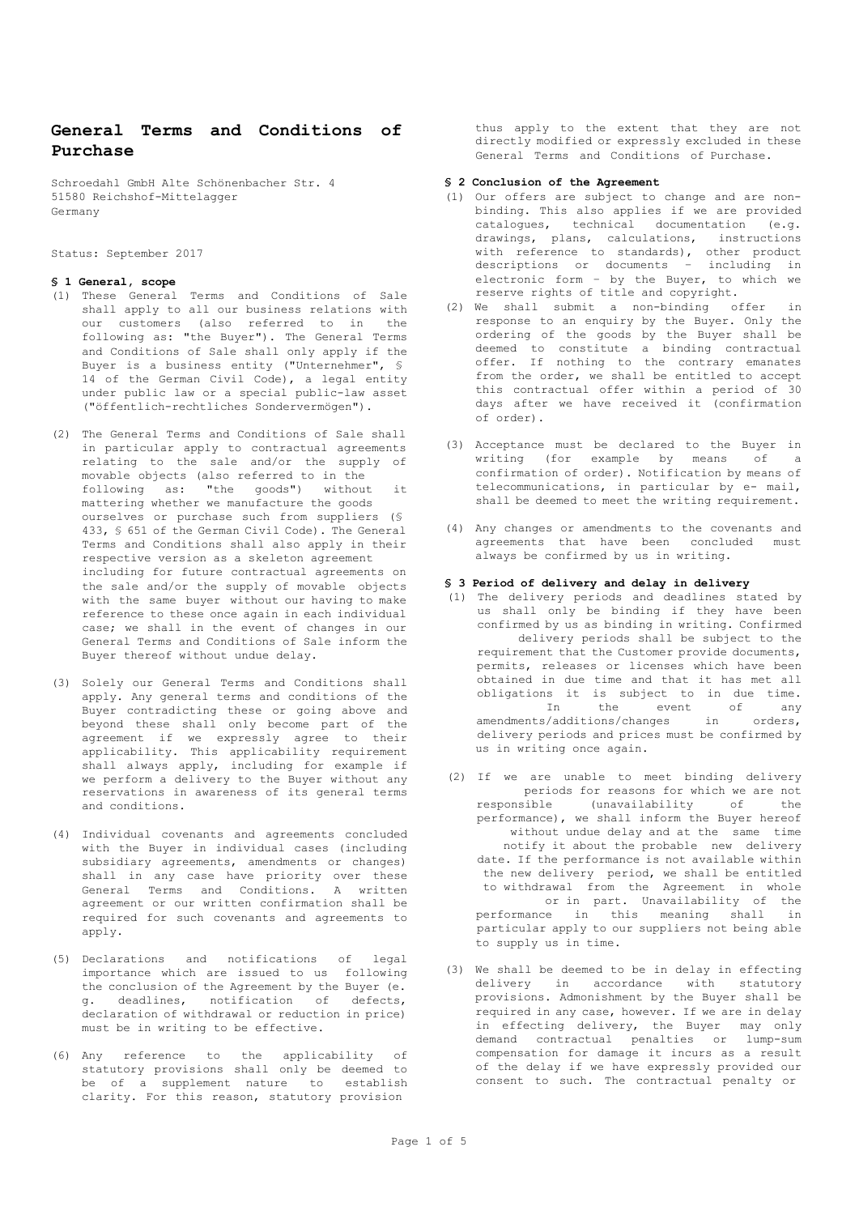# **General Terms and Conditions of Purchase**

Schroedahl GmbH Alte Schönenbacher Str. 4 51580 Reichshof-Mittelagger Germany

Status: September 2017

## **§ 1 General, scope**

- (1) These General Terms and Conditions of Sale shall apply to all our business relations with our customers (also referred to in the following as: "the Buyer"). The General Terms and Conditions of Sale shall only apply if the Buyer is a business entity ("Unternehmer", § 14 of the German Civil Code), a legal entity under public law or a special public-law asset ("öffentlich-rechtliches Sondervermögen").
- (2) The General Terms and Conditions of Sale shall in particular apply to contractual agreements relating to the sale and/or the supply of movable objects (also referred to in the following as: "the goods") without it mattering whether we manufacture the goods ourselves or purchase such from suppliers (§ 433, § 651 of the German Civil Code). The General Terms and Conditions shall also apply in their respective version as a skeleton agreement including for future contractual agreements on the sale and/or the supply of movable objects with the same buyer without our having to make reference to these once again in each individual case; we shall in the event of changes in our General Terms and Conditions of Sale inform the Buyer thereof without undue delay.
- (3) Solely our General Terms and Conditions shall apply. Any general terms and conditions of the Buyer contradicting these or going above and beyond these shall only become part of the agreement if we expressly agree to their applicability. This applicability requirement shall always apply, including for example if we perform a delivery to the Buyer without any reservations in awareness of its general terms and conditions.
- (4) Individual covenants and agreements concluded with the Buyer in individual cases (including subsidiary agreements, amendments or changes) shall in any case have priority over these General Terms and Conditions. A written agreement or our written confirmation shall be required for such covenants and agreements to apply.
- (5) Declarations and notifications of legal importance which are issued to us following the conclusion of the Agreement by the Buyer (e. g. deadlines, notification of defects, declaration of withdrawal or reduction in price) must be in writing to be effective.
- (6) Any reference to the applicability of statutory provisions shall only be deemed to be of a supplement nature to establish clarity. For this reason, statutory provision

thus apply to the extent that they are not directly modified or expressly excluded in these General Terms and Conditions of Purchase.

## **§ 2 Conclusion of the Agreement**

- (1) Our offers are subject to change and are nonbinding. This also applies if we are provided catalogues, technical documentation (e.g. drawings, plans, calculations, instructions with reference to standards), other product descriptions or documents – including in electronic form – by the Buyer, to which we reserve rights of title and copyright.
- (2) We shall submit a non-binding offer in response to an enquiry by the Buyer. Only the ordering of the goods by the Buyer shall be deemed to constitute a binding contractual offer. If nothing to the contrary emanates from the order, we shall be entitled to accept this contractual offer within a period of 30 days after we have received it (confirmation of order).
- (3) Acceptance must be declared to the Buyer in writing (for example by means of a confirmation of order). Notification by means of telecommunications, in particular by e- mail, shall be deemed to meet the writing requirement.
- (4) Any changes or amendments to the covenants and agreements that have been concluded must always be confirmed by us in writing.

## **§ 3 Period of delivery and delay in delivery**

- (1) The delivery periods and deadlines stated by us shall only be binding if they have been confirmed by us as binding in writing. Confirmed delivery periods shall be subject to the requirement that the Customer provide documents, permits, releases or licenses which have been obtained in due time and that it has met all obligations it is subject to in due time. In the event of any amendments/additions/changes in orders, delivery periods and prices must be confirmed by us in writing once again.
- (2) If we are unable to meet binding delivery periods for reasons for which we are not responsible (unavailability of the performance), we shall inform the Buyer hereof without undue delay and at the same time notify it about the probable new delivery date. If the performance is not available within the new delivery period, we shall be entitled to withdrawal from the Agreement in whole or in part. Unavailability of the<br>nce in this meaning shall in performance in this meaning shall particular apply to our suppliers not being able to supply us in time.
- (3) We shall be deemed to be in delay in effecting delivery in accordance with statutory provisions. Admonishment by the Buyer shall be required in any case, however. If we are in delay in effecting delivery, the Buyer may only demand contractual penalties or lump-sum compensation for damage it incurs as a result of the delay if we have expressly provided our consent to such. The contractual penalty or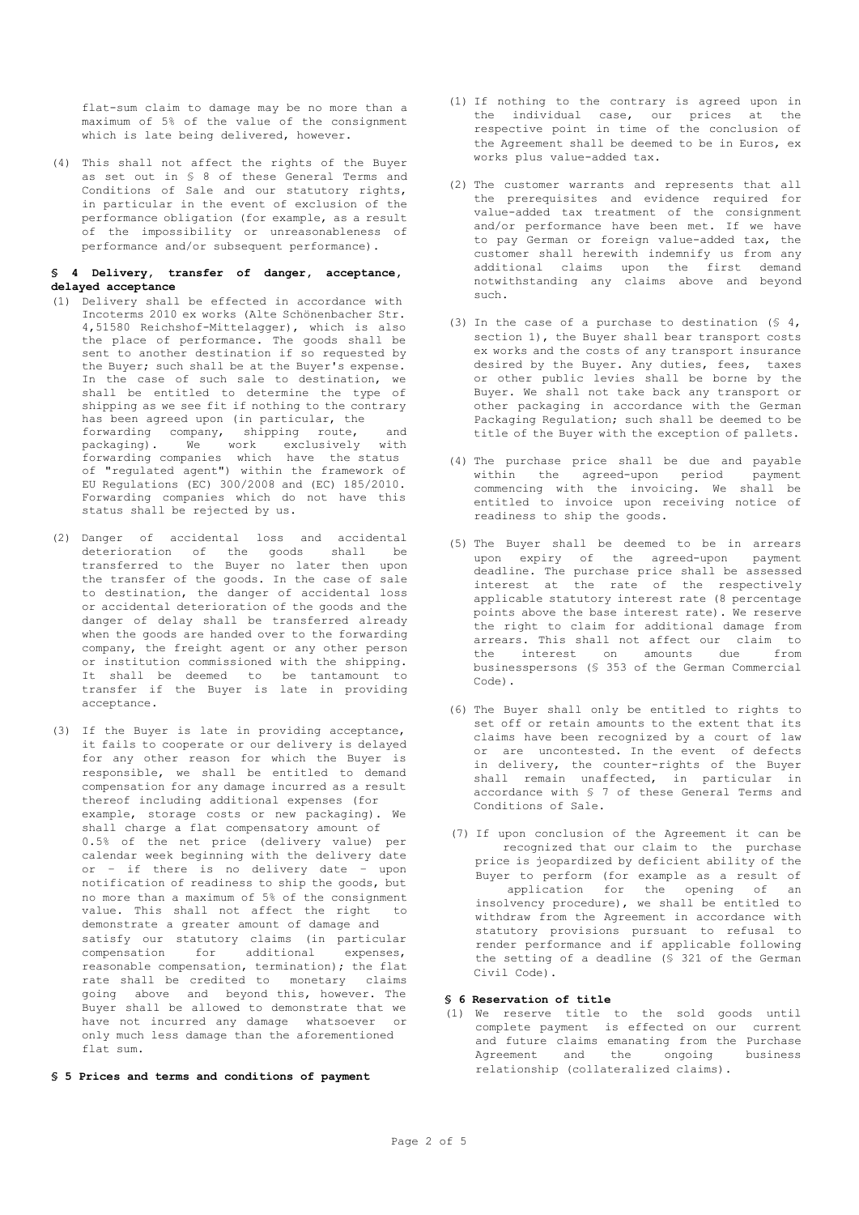flat-sum claim to damage may be no more than a maximum of 5% of the value of the consignment which is late being delivered, however.

(4) This shall not affect the rights of the Buyer as set out in § 8 of these General Terms and Conditions of Sale and our statutory rights, in particular in the event of exclusion of the performance obligation (for example, as a result of the impossibility or unreasonableness of performance and/or subsequent performance).

## **§ 4 Delivery, transfer of danger, acceptance, delayed acceptance**

- (1) Delivery shall be effected in accordance with Incoterms 2010 ex works (Alte Schönenbacher Str. 4,51580 Reichshof-Mittelagger), which is also the place of performance. The goods shall be sent to another destination if so requested by the Buyer; such shall be at the Buyer's expense. In the case of such sale to destination, we shall be entitled to determine the type of shipping as we see fit if nothing to the contrary has been agreed upon (in particular, the forwarding company, shipping route, and<br>packaging). We work exclusively with packaging). We work exclusively with forwarding companies which have the status of "regulated agent") within the framework of EU Regulations (EC) 300/2008 and (EC) 185/2010. Forwarding companies which do not have this status shall be rejected by us.
- (2) Danger of accidental loss and accidental deterioration of the goods shall be transferred to the Buyer no later then upon the transfer of the goods. In the case of sale to destination, the danger of accidental loss or accidental deterioration of the goods and the danger of delay shall be transferred already when the goods are handed over to the forwarding company, the freight agent or any other person or institution commissioned with the shipping. It shall be deemed to be tantamount to transfer if the Buyer is late in providing acceptance.
- (3) If the Buyer is late in providing acceptance, it fails to cooperate or our delivery is delayed for any other reason for which the Buyer is responsible, we shall be entitled to demand compensation for any damage incurred as a result thereof including additional expenses (for example, storage costs or new packaging). We shall charge a flat compensatory amount of 0.5% of the net price (delivery value) per calendar week beginning with the delivery date or – if there is no delivery date – upon notification of readiness to ship the goods, but no more than a maximum of 5% of the consignment value. This shall not affect the right to demonstrate a greater amount of damage and satisfy our statutory claims (in particular compensation for additional expenses, reasonable compensation, termination); the flat rate shall be credited to monetary claims going above and beyond this, however. The Buyer shall be allowed to demonstrate that we have not incurred any damage whatsoever or only much less damage than the aforementioned flat sum.

#### **§ 5 Prices and terms and conditions of payment**

- (1) If nothing to the contrary is agreed upon in the individual case, our prices at the respective point in time of the conclusion of the Agreement shall be deemed to be in Euros, ex works plus value-added tax.
- (2) The customer warrants and represents that all the prerequisites and evidence required for value-added tax treatment of the consignment and/or performance have been met. If we have to pay German or foreign value-added tax, the customer shall herewith indemnify us from any additional claims upon the first demand notwithstanding any claims above and beyond such.
- (3) In the case of a purchase to destination (§ 4, section 1), the Buyer shall bear transport costs ex works and the costs of any transport insurance desired by the Buyer. Any duties, fees, taxes or other public levies shall be borne by the Buyer. We shall not take back any transport or other packaging in accordance with the German Packaging Regulation; such shall be deemed to be title of the Buyer with the exception of pallets.
- (4) The purchase price shall be due and payable within the agreed-upon period payment commencing with the invoicing. We shall be entitled to invoice upon receiving notice of readiness to ship the goods.
- (5) The Buyer shall be deemed to be in arrears upon expiry of the agreed-upon payment deadline. The purchase price shall be assessed interest at the rate of the respectively applicable statutory interest rate (8 percentage points above the base interest rate). We reserve the right to claim for additional damage from arrears. This shall not affect our claim to the interest on amounts due from businesspersons (§ 353 of the German Commercial Code).
- (6) The Buyer shall only be entitled to rights to set off or retain amounts to the extent that its claims have been recognized by a court of law or are uncontested. In the event of defects in delivery, the counter-rights of the Buyer shall remain unaffected, in particular in accordance with § 7 of these General Terms and Conditions of Sale.
- (7) If upon conclusion of the Agreement it can be recognized that our claim to the purchase price is jeopardized by deficient ability of the Buyer to perform (for example as a result of application for the opening of an insolvency procedure), we shall be entitled to withdraw from the Agreement in accordance with statutory provisions pursuant to refusal to render performance and if applicable following the setting of a deadline (§ 321 of the German Civil Code).

## **§ 6 Reservation of title**

(1) We reserve title to the sold goods until complete payment is effected on our current and future claims emanating from the Purchase<br>Agreement and the ongoing business Agreement and the ongoing relationship (collateralized claims).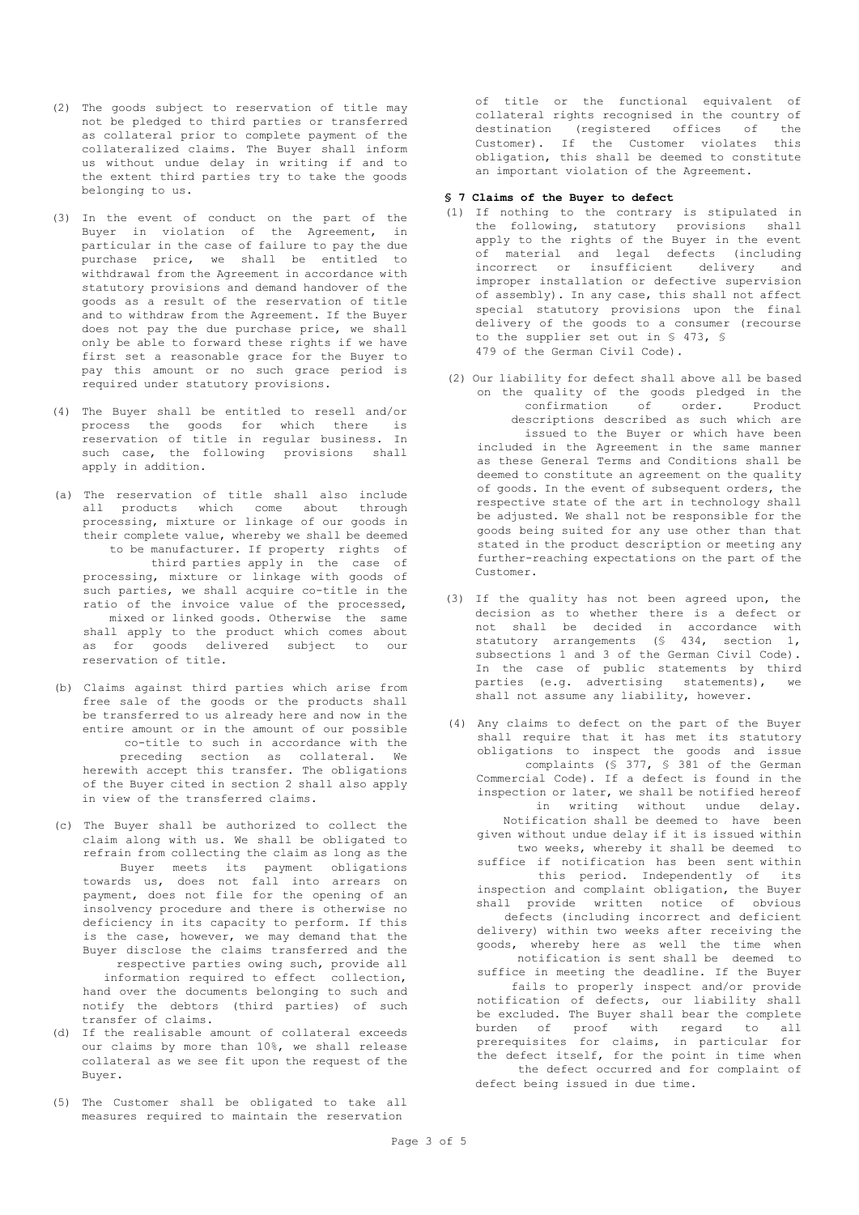- (2) The goods subject to reservation of title may not be pledged to third parties or transferred as collateral prior to complete payment of the collateralized claims. The Buyer shall inform us without undue delay in writing if and to the extent third parties try to take the goods belonging to us.
- (3) In the event of conduct on the part of the Buyer in violation of the Agreement, in particular in the case of failure to pay the due purchase price, we shall be entitled to withdrawal from the Agreement in accordance with statutory provisions and demand handover of the goods as a result of the reservation of title and to withdraw from the Agreement. If the Buyer does not pay the due purchase price, we shall only be able to forward these rights if we have first set a reasonable grace for the Buyer to pay this amount or no such grace period is required under statutory provisions.
- (4) The Buyer shall be entitled to resell and/or process the goods for which there is reservation of title in regular business. In such case, the following provisions shall apply in addition.
- (a) The reservation of title shall also include all products which come about through processing, mixture or linkage of our goods in their complete value, whereby we shall be deemed to be manufacturer. If property rights of third parties apply in the case of processing, mixture or linkage with goods of such parties, we shall acquire co-title in the ratio of the invoice value of the processed, mixed or linked goods. Otherwise the same shall apply to the product which comes about as for goods delivered subject to our reservation of title.
- (b) Claims against third parties which arise from free sale of the goods or the products shall be transferred to us already here and now in the entire amount or in the amount of our possible co-title to such in accordance with the preceding section as collateral. We herewith accept this transfer. The obligations of the Buyer cited in section 2 shall also apply in view of the transferred claims.
- (c) The Buyer shall be authorized to collect the claim along with us. We shall be obligated to refrain from collecting the claim as long as the Buyer meets its payment obligations towards us, does not fall into arrears on payment, does not file for the opening of an insolvency procedure and there is otherwise no deficiency in its capacity to perform. If this is the case, however, we may demand that the Buyer disclose the claims transferred and the respective parties owing such, provide all information required to effect collection, hand over the documents belonging to such and notify the debtors (third parties) of such transfer of claims.
- (d) If the realisable amount of collateral exceeds our claims by more than 10%, we shall release collateral as we see fit upon the request of the Buyer.
- (5) The Customer shall be obligated to take all measures required to maintain the reservation

of title or the functional equivalent of collateral rights recognised in the country of<br>destination (registered offices of the destination (registered offices of the<br>Customer). If the Customer violates this Customer). If the Customer violates obligation, this shall be deemed to constitute an important violation of the Agreement.

#### **§ 7 Claims of the Buyer to defect**

- (1) If nothing to the contrary is stipulated in the following, statutory provisions shall apply to the rights of the Buyer in the event of material and legal defects (including incorrect or insufficient delivery and improper installation or defective supervision of assembly). In any case, this shall not affect special statutory provisions upon the final delivery of the goods to a consumer (recourse to the supplier set out in § 473, § 479 of the German Civil Code).
- (2) Our liability for defect shall above all be based on the quality of the goods pledged in the confirmation of order. Product descriptions described as such which are issued to the Buyer or which have been included in the Agreement in the same manner as these General Terms and Conditions shall be deemed to constitute an agreement on the quality of goods. In the event of subsequent orders, the respective state of the art in technology shall be adjusted. We shall not be responsible for the goods being suited for any use other than that stated in the product description or meeting any further-reaching expectations on the part of the Customer.
- (3) If the quality has not been agreed upon, the decision as to whether there is a defect or not shall be decided in accordance with statutory arrangements (§ 434, section 1, subsections 1 and 3 of the German Civil Code). In the case of public statements by third parties (e.g. advertising statements), we shall not assume any liability, however.
- (4) Any claims to defect on the part of the Buyer shall require that it has met its statutory obligations to inspect the goods and issue complaints (§ 377, § 381 of the German Commercial Code). If a defect is found in the inspection or later, we shall be notified hereof in writing without undue delay. Notification shall be deemed to have been given without undue delay if it is issued within two weeks, whereby it shall be deemed to suffice if notification has been sent within this period. Independently of its inspection and complaint obligation, the Buyer shall provide written notice of obvious defects (including incorrect and deficient delivery) within two weeks after receiving the goods, whereby here as well the time when notification is sent shall be deemed to suffice in meeting the deadline. If the Buyer fails to properly inspect and/or provide notification of defects, our liability shall be excluded. The Buyer shall bear the complete burden of proof with regard to all prerequisites for claims, in particular for the defect itself, for the point in time when the defect occurred and for complaint of defect being issued in due time.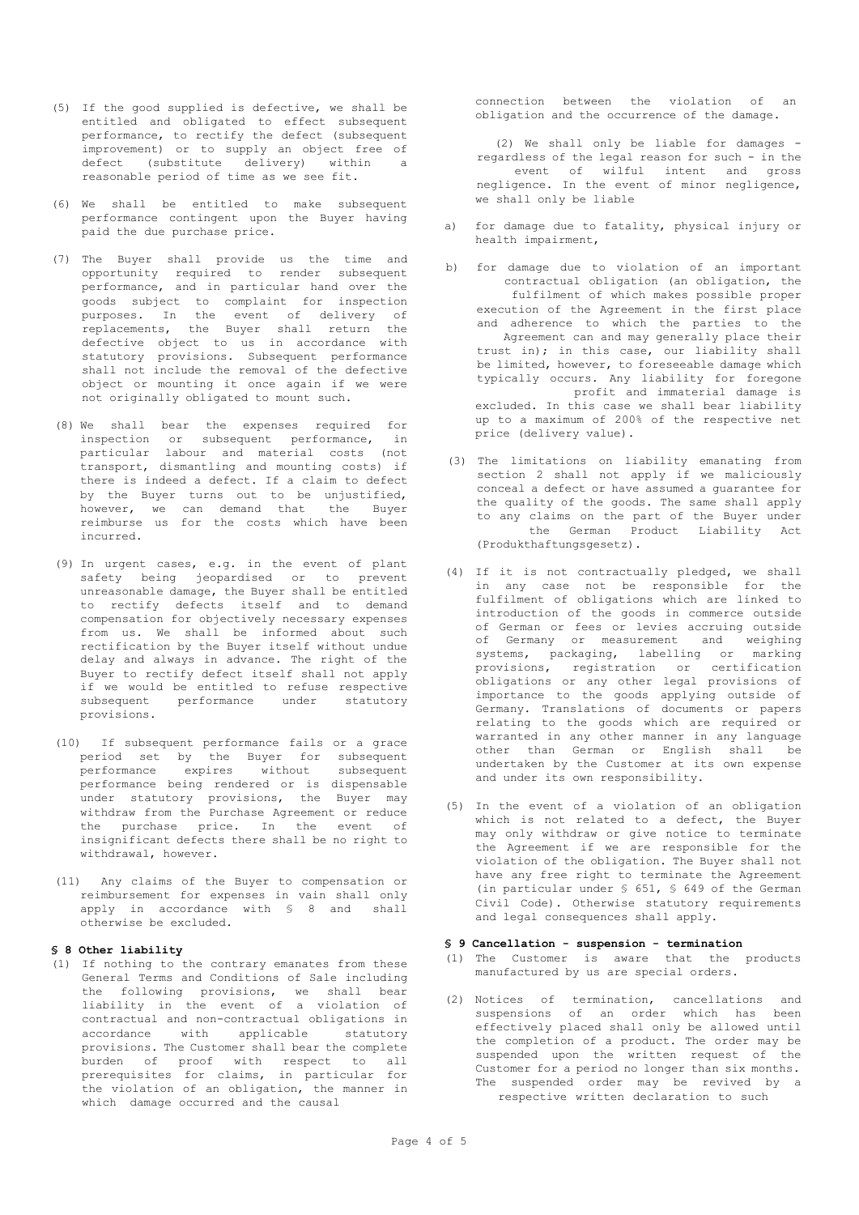- (5) If the good supplied is defective, we shall be entitled and obligated to effect subsequent performance, to rectify the defect (subsequent improvement) or to supply an object free of defect (substitute delivery) within a reasonable period of time as we see fit.
- (6) We shall be entitled to make subsequent performance contingent upon the Buyer having paid the due purchase price.
- (7) The Buyer shall provide us the time and opportunity required to render subsequent performance, and in particular hand over the goods subject to complaint for inspection purposes. In the event of delivery of replacements, the Buyer shall return the defective object to us in accordance with statutory provisions. Subsequent performance shall not include the removal of the defective object or mounting it once again if we were not originally obligated to mount such.
- (8) We shall bear the expenses required for inspection or subsequent performance, in particular labour and material costs (not transport, dismantling and mounting costs) if there is indeed a defect. If a claim to defect by the Buyer turns out to be unjustified, however, we can demand that the Buyer reimburse us for the costs which have been incurred.
- (9) In urgent cases, e.g. in the event of plant safety being jeopardised or to prevent unreasonable damage, the Buyer shall be entitled to rectify defects itself and to demand compensation for objectively necessary expenses from us. We shall be informed about such rectification by the Buyer itself without undue delay and always in advance. The right of the Buyer to rectify defect itself shall not apply if we would be entitled to refuse respective<br>subsequent performance under statutory subsequent performance provisions.
- (10) If subsequent performance fails or a grace period set by the Buyer for subsequent<br>performance expires without subsequent performance expires without subsequent performance being rendered or is dispensable under statutory provisions, the Buyer may withdraw from the Purchase Agreement or reduce the purchase price. In the event of insignificant defects there shall be no right to withdrawal, however.
- (11) Any claims of the Buyer to compensation or reimbursement for expenses in vain shall only apply in accordance with § 8 and shall otherwise be excluded.

## **§ 8 Other liability**

(1) If nothing to the contrary emanates from these General Terms and Conditions of Sale including the following provisions, we shall bear liability in the event of a violation of contractual and non-contractual obligations in accordance with applicable statutory provisions. The Customer shall bear the complete burden of proof with respect to all prerequisites for claims, in particular for the violation of an obligation, the manner in which damage occurred and the causal

connection between the violation of an obligation and the occurrence of the damage.

(2) We shall only be liable for damages regardless of the legal reason for such - in the event of wilful intent and gross negligence. In the event of minor negligence, we shall only be liable

- a) for damage due to fatality, physical injury or health impairment,
- b) for damage due to violation of an important contractual obligation (an obligation, the fulfilment of which makes possible proper execution of the Agreement in the first place and adherence to which the parties to the Agreement can and may generally place their trust in); in this case, our liability shall be limited, however, to foreseeable damage which typically occurs. Any liability for foregone profit and immaterial damage is excluded. In this case we shall bear liability up to a maximum of 200% of the respective net price (delivery value).
- (3) The limitations on liability emanating from section 2 shall not apply if we maliciously conceal a defect or have assumed a guarantee for the quality of the goods. The same shall apply to any claims on the part of the Buyer under the German Product Liability Act (Produkthaftungsgesetz).
- (4) If it is not contractually pledged, we shall in any case not be responsible for the fulfilment of obligations which are linked to introduction of the goods in commerce outside of German or fees or levies accruing outside of Germany or measurement and weighing systems, packaging, labelling or marking provisions, registration or certification obligations or any other legal provisions of importance to the goods applying outside of Germany. Translations of documents or papers relating to the goods which are required or warranted in any other manner in any language other than German or English shall be undertaken by the Customer at its own expense and under its own responsibility.
- (5) In the event of a violation of an obligation which is not related to a defect, the Buyer may only withdraw or give notice to terminate the Agreement if we are responsible for the violation of the obligation. The Buyer shall not have any free right to terminate the Agreement (in particular under § 651, § 649 of the German Civil Code). Otherwise statutory requirements and legal consequences shall apply.

## **§ 9 Cancellation - suspension - termination**

- (1) The Customer is aware that the products manufactured by us are special orders.
- (2) Notices of termination, cancellations and suspensions of an order which has been effectively placed shall only be allowed until the completion of a product. The order may be suspended upon the written request of the Customer for a period no longer than six months. The suspended order may be revived by a respective written declaration to such